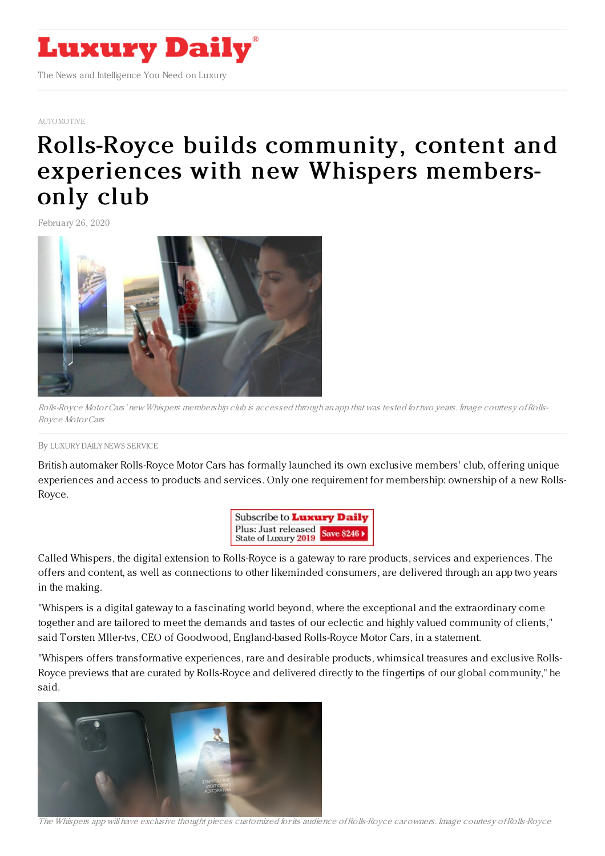

### [AUTOMOTIVE](https://www.luxurydaily.com/category/sectors/automotive-industry-sectors/)

# Rolls-Royce builds community, content and [experiences](https://www.luxurydaily.com/rolls-royce-builds-community-content-and-experiences-with-new-whispers-members-only-club/) with new Whispers membersonly club

February 26, 2020



Rolls-Royce Motor Cars' new Whispers membership club is accessed through an app that was tested for two years. Image courtesy ofRolls-Royce Motor Cars

#### By LUXURY DAILY NEWS [SERVICE](file:///author/luxury-daily-news-service)

British automaker Rolls-Royce Motor Cars has formally launched its own exclusive members' club, offering unique experiences and access to products and services. Only one requirement for membership: ownership of a new Rolls-Royce.



Called Whispers, the digital extension to Rolls-Royce is a gateway to rare products, services and experiences. The offers and content, as well as connections to other likeminded consumers, are delivered through an app two years in the making.

"Whispers is a digital gateway to a fascinating world beyond, where the exceptional and the extraordinary come together and are tailored to meet the demands and tastes of our eclectic and highly valued community of clients," said Torsten Mller-tvs, CEO of Goodwood, England-based Rolls-Royce Motor Cars, in a statement.

"Whispers offers transformative experiences, rare and desirable products, whimsical treasures and exclusive Rolls-Royce previews that are curated by Rolls-Royce and delivered directly to the fingertips of our global community," he said.



The Whispers app will have exclusive thought pieces customized for its audience ofRolls-Royce car owners. Image courtesy ofRolls-Royce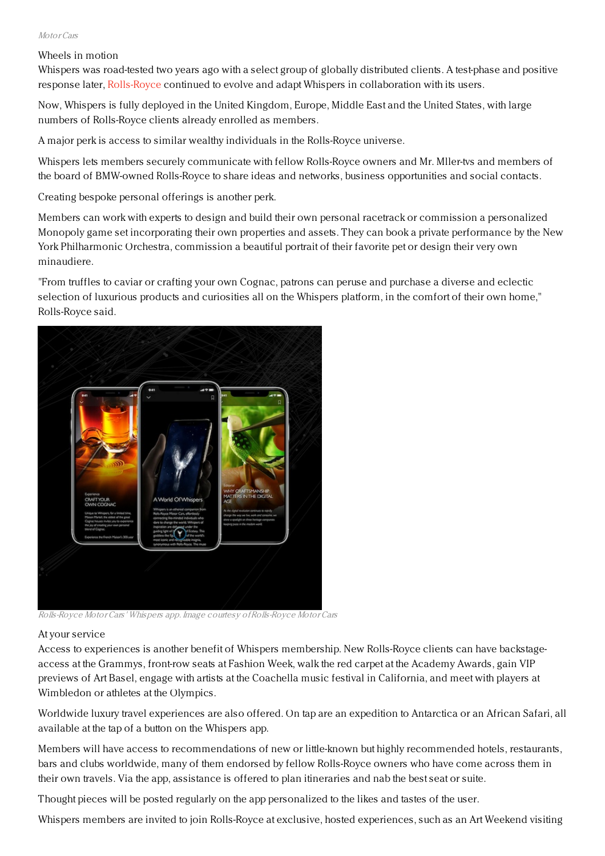## Motor Cars

# Wheels in motion

Whispers was road-tested two years ago with a select group of globally distributed clients. A test-phase and positive response later, [Rolls-Royce](https://www.rolls-roycemotorcars.com/en_GB/home.html) continued to evolve and adapt Whispers in collaboration with its users.

Now, Whispers is fully deployed in the United Kingdom, Europe, Middle East and the United States, with large numbers of Rolls-Royce clients already enrolled as members.

A major perk is access to similar wealthy individuals in the Rolls-Royce universe.

Whispers lets members securely communicate with fellow Rolls-Royce owners and Mr. Mller-tvs and members of the board of BMW-owned Rolls-Royce to share ideas and networks, business opportunities and social contacts.

Creating bespoke personal offerings is another perk.

Members can work with experts to design and build their own personal racetrack or commission a personalized Monopoly game set incorporating their own properties and assets. They can book a private performance by the New York Philharmonic Orchestra, commission a beautiful portrait of their favorite pet or design their very own minaudiere.

"From truffles to caviar or crafting your own Cognac, patrons can peruse and purchase a diverse and eclectic selection of luxurious products and curiosities all on the Whispers platform, in the comfort of their own home," Rolls-Royce said.



Rolls-Royce Motor Cars' Whispers app. Image courtesy ofRolls-Royce Motor Cars

## At your service

Access to experiences is another benefit of Whispers membership. New Rolls-Royce clients can have backstageaccess at the Grammys, front-row seats at Fashion Week, walk the red carpet at the Academy Awards, gain VIP previews of Art Basel, engage with artists at the Coachella music festival in California, and meet with players at Wimbledon or athletes at the Olympics.

Worldwide luxury travel experiences are also offered. On tap are an expedition to Antarctica or an African Safari, all available at the tap of a button on the Whispers app.

Members will have access to recommendations of new or little-known but highly recommended hotels, restaurants, bars and clubs worldwide, many of them endorsed by fellow Rolls-Royce owners who have come across them in their own travels. Via the app, assistance is offered to plan itineraries and nab the best seat or suite.

Thought pieces will be posted regularly on the app personalized to the likes and tastes of the user.

Whispers members are invited to join Rolls-Royce at exclusive, hosted experiences, such as an Art Weekend visiting